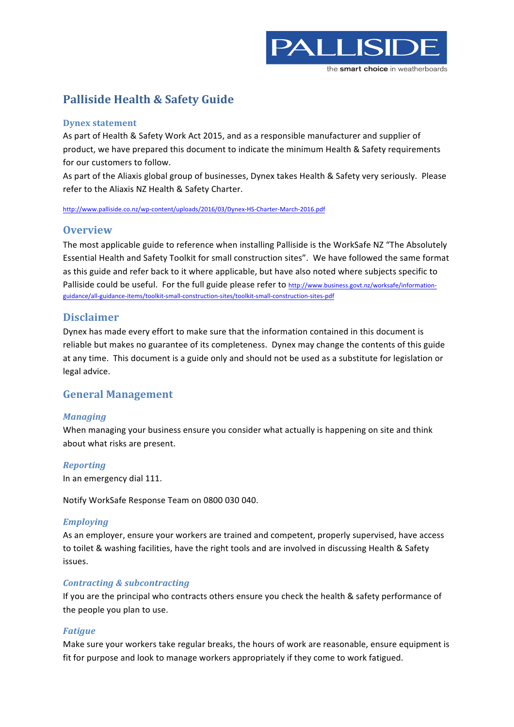

# **Palliside Health & Safety Guide**

### **Dynex statement**

As part of Health & Safety Work Act 2015, and as a responsible manufacturer and supplier of product, we have prepared this document to indicate the minimum Health & Safety requirements for our customers to follow.

As part of the Aliaxis global group of businesses, Dynex takes Health & Safety very seriously. Please refer to the Aliaxis NZ Health & Safety Charter.

<http://www.palliside.co.nz/wp-content/uploads/2016/03/Dynex-HS-Charter-March-2016.pdf>

# **Overview**

The most applicable guide to reference when installing Palliside is the WorkSafe NZ "The Absolutely Essential Health and Safety Toolkit for small construction sites". We have followed the same format as this guide and refer back to it where applicable, but have also noted where subjects specific to Palliside could be useful. For the full guide please refer to http://www.business.govt.nz/worksafe/informationguidance/all-guidance-items/toolkit-small-construction-sites/toolkit-small-construction-sites-pdf

# **Disclaimer**

Dynex has made every effort to make sure that the information contained in this document is reliable but makes no guarantee of its completeness. Dynex may change the contents of this guide at any time. This document is a guide only and should not be used as a substitute for legislation or legal advice.

# **General Management**

# *Managing*

When managing your business ensure you consider what actually is happening on site and think about what risks are present.

#### *Reporting*

In an emergency dial 111.

Notify WorkSafe Response Team on 0800 030 040.

#### *Employing*

As an employer, ensure your workers are trained and competent, properly supervised, have access to toilet & washing facilities, have the right tools and are involved in discussing Health & Safety issues.

#### *Contracting&&&subcontracting*

If you are the principal who contracts others ensure you check the health & safety performance of the people you plan to use.

# *Fatigue*

Make sure your workers take regular breaks, the hours of work are reasonable, ensure equipment is fit for purpose and look to manage workers appropriately if they come to work fatigued.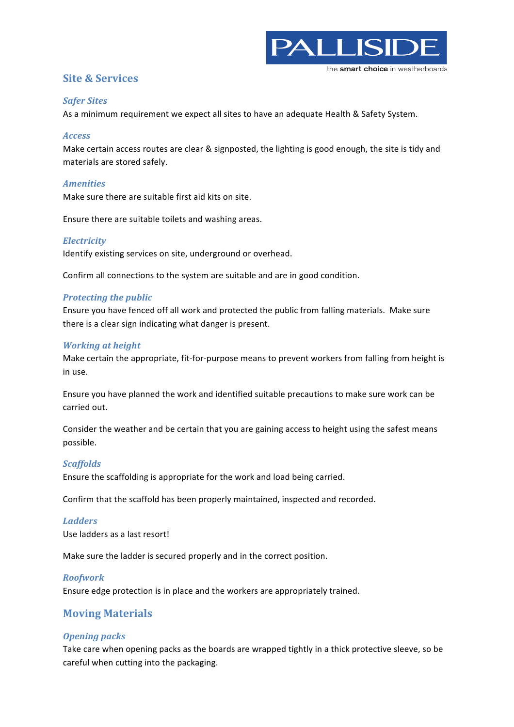

# **Site & Services**

### **Safer Sites**

As a minimum requirement we expect all sites to have an adequate Health & Safety System.

#### *Access*

Make certain access routes are clear & signposted, the lighting is good enough, the site is tidy and materials are stored safely.

### *Amenities*

Make sure there are suitable first aid kits on site.

Ensure there are suitable toilets and washing areas.

### *Electricity*

Identify existing services on site, underground or overhead.

Confirm all connections to the system are suitable and are in good condition.

# **Protecting the public**

Ensure you have fenced off all work and protected the public from falling materials. Make sure there is a clear sign indicating what danger is present.

### *Working at height*

Make certain the appropriate, fit-for-purpose means to prevent workers from falling from height is in use.

Ensure you have planned the work and identified suitable precautions to make sure work can be carried out.

Consider the weather and be certain that you are gaining access to height using the safest means possible.

#### *Scaffolds*

Ensure the scaffolding is appropriate for the work and load being carried.

Confirm that the scaffold has been properly maintained, inspected and recorded.

#### *Ladders*

Use ladders as a last resort!

Make sure the ladder is secured properly and in the correct position.

#### *Roofwork*

Ensure edge protection is in place and the workers are appropriately trained.

# **Moving Materials**

#### *Opening packs*

Take care when opening packs as the boards are wrapped tightly in a thick protective sleeve, so be careful when cutting into the packaging.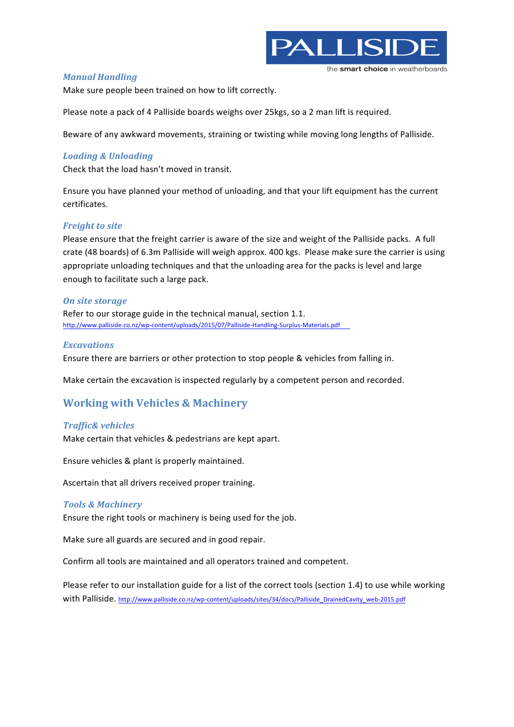

Make sure people been trained on how to lift correctly.

Please note a pack of 4 Palliside boards weighs over 25kgs, so a 2 man lift is required.

Beware of any awkward movements, straining or twisting while moving long lengths of Palliside.

#### *Loading&&&Unloading*

Check that the load hasn't moved in transit.

Ensure you have planned your method of unloading, and that your lift equipment has the current certificates.!

#### *Freight to site*

Please ensure that the freight carrier is aware of the size and weight of the Palliside packs. A full crate (48 boards) of 6.3m Palliside will weigh approx. 400 kgs. Please make sure the carrier is using appropriate unloading techniques and that the unloading area for the packs is level and large enough to facilitate such a large pack.

#### **On site storage**

Refer to our storage guide in the technical manual, section 1.1. <http://www.palliside.co.nz/wp-content/uploads/2015/07/Palliside-Handling-Surplus-Materials.pdf>

#### *Excavations*

Ensure there are barriers or other protection to stop people & vehicles from falling in.

Make certain the excavation is inspected regularly by a competent person and recorded.

# **Working with Vehicles & Machinery**

#### *Traffic&&vehicles&*

Make certain that vehicles & pedestrians are kept apart.

Ensure vehicles & plant is properly maintained.

Ascertain that all drivers received proper training.

#### *Tools&&&Machinery*

Ensure the right tools or machinery is being used for the job.

Make sure all guards are secured and in good repair.

Confirm all tools are maintained and all operators trained and competent.

Please refer to our installation guide for a list of the correct tools (section 1.4) to use while working with Palliside. http://www.palliside.co.nz/wp-content/uploads/sites/34/docs/Palliside\_DrainedCavity\_web-2015.pdf